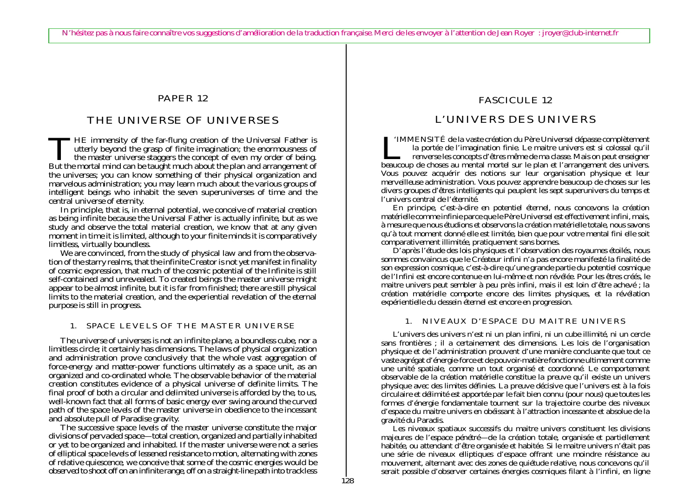# PAPER 12

# THE UNIVERSE OF UNIVERSES

THE immensity of the far-flung creation of the Universal Father is utterly beyond the grasp of finite imagination; the enormousness of the master universe staggers the concept of even my order of being. But the mortal mind can be taught much about the plan and arrangement of the universes; you can know something of their physical organization and marvelous administration; you may learn much about the various groups of intelligent beings who inhabit the seven superuniverses of time and the central universe of eternity.

In principle, that is, in eternal potential, we conceive of material creation as being infinite because the Universal Father is actually infinite, but as we study and observe the total material creation, we know that at any given moment in time it is limited, although to your finite minds it is comparatively limitless, virtually boundless.

We are convinced, from the study of physical law and from the observation of the starry realms, that the infinite Creator is not yet manifest in finality of cosmic expression, that much of the cosmic potential of the Infinite is still self-contained and unrevealed. To created beings the master universe might appear to be almost infinite, but it is far from finished; there are still physical limits to the material creation, and the experiential revelation of the eternal purpose is still in progress.

# 1. SPACE LEVELS OF THE MASTER UNIVERSE

The universe of universes is not an infinite plane, a boundless cube, nor a limitless circle; it certainly has dimensions. The laws of physical organization and administration prove conclusively that the whole vast aggregation of force-energy and matter-power functions ultimately as a space unit, as an organized and co-ordinated whole. The observable behavior of the material creation constitutes evidence of a physical universe of definite limits. The final proof of both a circular and delimited universe is afforded by the, to us, well-known fact that all forms of basic energy ever swing around the curved path of the space levels of the master universe in obedience to the incessant and absolute pull of Paradise gravity.

The successive space levels of the master universe constitute the major divisions of pervaded space—total creation, organized and partially inhabited or yet to be organized and inhabited. If the master universe were not a series of elliptical space levels of lessened resistance to motion, alternating with zones of relative quiescence, we conceive that some of the cosmic energies would be observed to shoot off on an infinite range, off on a straight-line path into trackless

# FASCICULE 12

# L'UNIVERS DES UNIVERS

'IMMENSITÉ de la vaste création du Père Universel dépasse complètement L la portée de l'imagination finie. Le maitre univers est si colossal qu'il renverse les concepts d'êtres même de ma classe. Mais on peut enseigner beaucoup de choses au mental mortel sur le plan et l'arrangement des univers. Vous pouvez acquérir des notions sur leur organisation physique et leur merveilleuse administration. Vous pouvez apprendre beaucoup de choses sur les divers groupes d'êtres intelligents qui peuplent les sept superunivers du temps et l'univers central de l'éternité.

En principe, c'est-à-dire en potentiel éternel, nous concevons la création matérielle comme infinie parce que le Père Universel est effectivement infini, mais, à mesure que nous étudions et observons la création matérielle totale, nous savons qu'à tout moment donné elle est limitée, bien que pour votre mental fini elle soit comparativement illimitée, pratiquement sans bornes.

D'après l'étude des lois physiques et l'observation des royaumes étoilés, nous sommes convaincus que le Créateur infini n'a pas encore manifesté la finalité de son expression cosmique, c'est-à-dire qu'une grande partie du potentiel cosmique de l'Infini est encore contenue en lui-même et non révélée. Pour les êtres créés, le maitre univers peut sembler à peu près infini, mais il est loin d'être achevé ; la création matérielle comporte encore des limites physiques, et la révélation expérientielle du dessein éternel est encore en progression.

## 1. NIVEAUX D'ESPACE DU MAITRE UNIVERS

L'univers des univers n'est ni un plan infini, ni un cube illimité, ni un cercle sans frontières ; il a certainement des dimensions. Les lois de l'organisation physique et de l'administration prouvent d'une manière concluante que tout ce vaste agrégat d'énergie-force et de pouvoir-matière fonctionne ultimement comme une unité spatiale, comme un tout organisé et coordonné. Le comportement observable de la création matérielle constitue la preuve qu'il existe un univers physique avec des limites définies. La preuve décisive que l'univers est à la fois circulaire et délimité est apportée par le fait bien connu (pour nous) que toutes les formes d'énergie fondamentale tournent sur la trajectoire courbe des niveaux d'espace du maitre univers en obéissant à l'attraction incessante et absolue de la gravité du Paradis.

Les niveaux spatiaux successifs du maitre univers constituent les divisions majeures de l'espace pénétré—de la création totale, organisée et partiellement habitée, ou attendant d'être organisée et habitée. Si le maitre univers n'était pas une série de niveaux elliptiques d'espace offrant une moindre résistance au mouvement, alternant avec des zones de quiétude relative, nous concevons qu'il serait possible d'observer certaines énergies cosmiques filant à l'infini, en ligne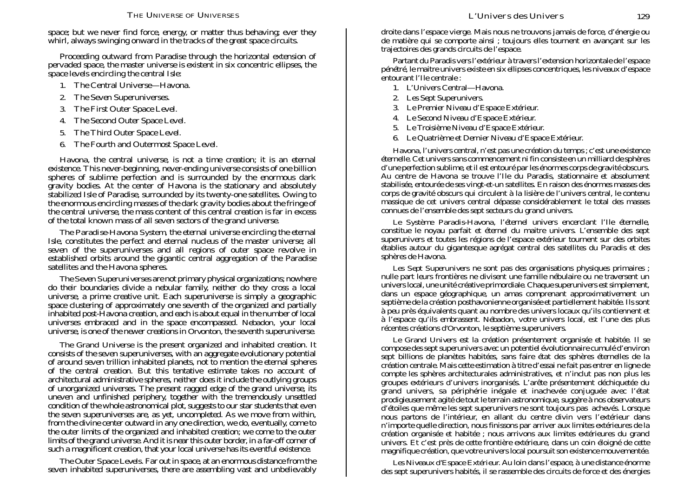space; but we never find force, energy, or matter thus behaving; ever they whirl, always swinging onward in the tracks of the great space circuits.

Proceeding outward from Paradise through the horizontal extension of pervaded space, the master universe is existent in six concentric ellipses, the space levels encircling the central Isle:

- 1. The Central Universe—Havona.
- 2. The Seven Superuniverses.
- 3. The First Outer Space Level.
- 4. The Second Outer Space Level.
- 5. The Third Outer Space Level.
- 6. The Fourth and Outermost Space Level.

*Havona,* the central universe, is not a time creation; it is an eternal existence. This never-beginning, never-ending universe consists of one billion spheres of sublime perfection and is surrounded by the enormous dark gravity bodies. At the center of Havona is the stationary and absolutely stabilized Isle of Paradise, surrounded by its twenty-one satellites. Owing to the enormous encircling masses of the dark gravity bodies about the fringe of the central universe, the mass content of this central creation is far in excess of the total known mass of all seven sectors of the grand universe.

*The Paradise-Havona System,* the eternal universe encircling the eternal Isle, constitutes the perfect and eternal nucleus of the master universe; all seven of the superuniverses and all regions of outer space revolve in established orbits around the gigantic central aggregation of the Paradise satellites and the Havona spheres.

*The Seven Superuniverses* are not primary physical organizations; nowhere do their boundaries divide a nebular family, neither do they cross a local universe, a prime creative unit. Each superuniverse is simply a geographic space clustering of approximately one seventh of the organized and partially inhabited post-Havona creation, and each is about equal in the number of local universes embraced and in the space encompassed. *Nebadon,* your local universe, is one of the newer creations in *Orvonton,* the seventh superuniverse.

*The Grand Universe* is the present organized and inhabited creation. It consists of the seven superuniverses, with an aggregate evolutionary potential of around seven trillion inhabited planets, not to mention the eternal spheres of the central creation. But this tentative estimate takes no account of architectural administrative spheres, neither does it include the outlying groups of unorganized universes. The present ragged edge of the grand universe, its uneven and unfinished periphery, together with the tremendously unsettled condition of the whole astronomical plot, suggests to our star students that even the seven superuniverses are, as yet, uncompleted. As we move from within, from the divine center outward in any one direction, we do, eventually, come to the outer limits of the organized and inhabited creation; we come to the outer limits of the grand universe. And it is near this outer border, in a far-off corner of such a magnificent creation, that your local universe has its eventful existence.

*The Outer Space Levels.* Far out in space, at an enormous distance from the seven inhabited superuniverses, there are assembling vast and unbelievably droite dans l'espace vierge. Mais nous ne trouvons jamais de force, d'énergie ou de matière qui se comporte ainsi ; toujours elles tournent en avançant sur les trajectoires des grands circuits de l'espace.

Partant du Paradis vers l'extérieur à travers l'extension horizontale de l'espace pénétré, le maitre univers existe en six ellipses concentriques, les niveaux d'espace entourant l'Ile centrale :

- 1. L'Univers Central—Havona.
- 2. Les Sept Superunivers.
- 3. Le Premier Niveau d'Espace Extérieur.
- 4. Le Second Niveau d'Espace Extérieur.
- 5. Le Troisième Niveau d'Espace Extérieur.
- 6. Le Quatrième et Dernier Niveau d'Espace Extérieur.

*Havona*, l'univers central, n'est pas une création du temps ; c'est une existence éternelle. Cet univers sans commencement ni fin consiste en un milliard de sphères d'une perfection sublime, et il est entouré par les énormes corps de gravité obscurs. Au centre de Havona se trouve l'Ile du Paradis, stationnaire et absolument stabilisée, entourée de ses vingt-et-un satellites. En raison des énormes masses des corps de gravité obscurs qui circulent à la lisière de l'univers central, le contenu massique de cet univers central dépasse considérablement le total des masses connues de l'ensemble des sept secteurs du grand univers.

*Le Système Paradis-Havona*, l'éternel univers encerclant l'Ile éternelle, constitue le noyau parfait et éternel du maitre univers. L'ensemble des sept superunivers et toutes les régions de l'espace extérieur tournent sur des orbites établies autour du gigantesque agrégat central des satellites du Paradis et des sphères de Havona.

*Les Sept Superunivers* ne sont pas des organisations physiques primaires ; nulle part leurs frontières ne divisent une famille nébulaire ou ne traversent un univers local, une unité créative primordiale. Chaque superunivers est simplement, dans un espace géographique, un amas comprenant approximativement un septième de la création posthavonienne organisée et partiellement habitée. Ils sont à peu près équivalents quant au nombre des univers locaux qu'ils contiennent et à l'espace qu'ils embrassent. *Nébadon*, votre univers local, est l'une des plus récentes créations d*'Orvonton*, le septième superunivers.

*Le Grand Univers* est la création présentement organisée et habitée. Il se compose des sept superunivers avec un potentiel évolutionnaire cumulé d'environ sept billions de planètes habitées, sans faire état des sphères éternelles de la création centrale. Mais cette estimation à titre d'essai ne fait pas entrer en ligne de compte les sphères architecturales administratives, et n'inclut pas non plus les groupes extérieurs d'univers inorganisés. L'arête présentement déchiquetée du grand univers, sa périphérie inégale et inachevée conjuguée avec l'état prodigieusement agité de tout le terrain astronomique, suggère à nos observateurs d'étoiles que même les sept superunivers ne sont toujours pas achevés. Lorsque nous partons de l'intérieur, en allant du centre divin vers l'extérieur dans n'importe quelle direction, nous finissons par arriver aux limites extérieures de la création organisée et habitée ; nous arrivons aux limites extérieures du grand univers. Et c'est près de cette frontière extérieure, dans un coin éloigné de cette magnifique création, que votre univers local poursuit son existence mouvementée.

*Les Niveaux d'Espace Extérieur.* Au loin dans l'espace, à une distance énorme des sept superunivers habités, il se rassemble des circuits de force et des énergies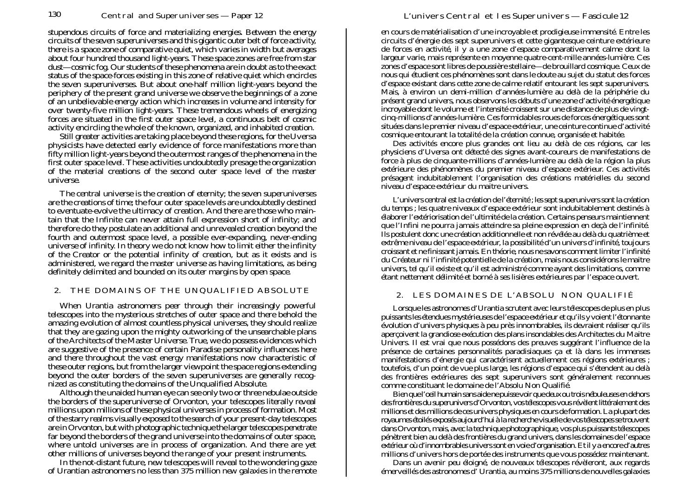stupendous circuits of force and materializing energies. Between the energy circuits of the seven superuniverses and this gigantic outer belt of force activity, there is a space zone of comparative quiet, which varies in width but averages about four hundred thousand light-years. These space zones are free from star dust—cosmic fog. Our students of these phenomena are in doubt as to the exact status of the space-forces existing in this zone of relative quiet which encircles the seven superuniverses. But about one-half million light-years beyond the periphery of the present grand universe we observe the beginnings of a zone of an unbelievable energy action which increases in volume and intensity for over twenty-five million light-years. These tremendous wheels of energizing forces are situated in the first outer space level, a continuous belt of cosmic activity encircling the whole of the known, organized, and inhabited creation.

Still greater activities are taking place beyond these regions, for the Uversa physicists have detected early evidence of force manifestations more than fifty million light-years beyond the outermost ranges of the phenomena in the first outer space level. These activities undoubtedly presage the organization of the material creations of the second outer space level of the master universe.

The central universe is the creation of eternity; the seven superuniverses are the creations of time; the four outer space levels are undoubtedly destined to eventuate-evolve the ultimacy of creation. And there are those who maintain that the Infinite can never attain full expression short of infinity; and therefore do they postulate an additional and unrevealed creation beyond the fourth and outermost space level, a possible ever-expanding, never-ending universe of infinity. In theory we do not know how to limit either the infinity of the Creator or the potential infinity of creation, but as it exists and is administered, we regard the master universe as having limitations, as being definitely delimited and bounded on its outer margins by open space.

## 2. THE DOMAINS OF THE UNQUALIFIED ABSOLUTE

When Urantia astronomers peer through their increasingly powerful telescopes into the mysterious stretches of outer space and there behold the amazing evolution of almost countless physical universes, they should realize that they are gazing upon the mighty outworking of the unsearchable plans of the Architects of the Master Universe. True, we do possess evidences which are suggestive of the presence of certain Paradise personality influences here and there throughout the vast energy manifestations now characteristic of these outer regions, but from the larger viewpoint the space regions extending beyond the outer borders of the seven superuniverses are generally recognized as constituting the domains of the Unqualified Absolute.

Although the unaided human eye can see only two or three nebulae outside the borders of the superuniverse of Orvonton, your telescopes literally reveal millions upon millions of these physical universes in process of formation. Most of the starry realms visually exposed to the search of your present-day telescopes are in Orvonton, but with photographic technique the larger telescopes penetrate far beyond the borders of the grand universe into the domains of outer space, where untold universes are in process of organization. And there are yet other millions of universes beyond the range of your present instruments.

In the not-distant future, new telescopes will reveal to the wondering gaze of Urantian astronomers no less than 375 million new galaxies in the remote en cours de matérialisation d'une incroyable et prodigieuse immensité. Entre les circuits d'énergie des sept superunivers et cette gigantesque ceinture extérieure de forces en activité, il y a une zone d'espace comparativement calme dont la largeur varie, mais représente en moyenne quatre-cent-mille années-lumière. Ces zones d'espace sont libres de poussière stellaire—de brouillard cosmique. Ceux de nous qui étudient ces phénomènes sont dans le doute au sujet du statut des forces d'espace existant dans cette zone de calme relatif entourant les sept superunivers. Mais, à environ un demi-million d'années-lumière au delà de la périphérie du présent grand univers, nous observons les débuts d'une zone d'activité énergétique incroyable dont le volume et l'intensité croissent sur une distance de plus de vingtcinq-millions d'années-lumière. Ces formidables roues de forces énergétiques sont situées dans le premier niveau d'espace extérieur, une ceinture continue d'activité cosmique entourant la totalité de la création connue, organisée et habitée.

Des activités encore plus grandes ont lieu au delà de ces régions, car les physiciens d'Uversa ont détecté des signes avant-coureurs de manifestations de force à plus de cinquante-millions d'années-lumière au delà de la région la plus extérieure des phénomènes du premier niveau d'espace extérieur. Ces activités présagent indubitablement l'organisation des créations matérielles du second niveau d'espace extérieur du maitre univers.

L'univers central est la création de l'éternité ; les sept superunivers sont la création du temps ; les quatre niveaux d'espace extérieur sont indubitablement destinés à élaborer l'extériorisation de l'ultimité de la création. Certains penseurs maintiennent que l'Infini ne pourra jamais atteindre sa pleine expression en deçà de l'infinité. Ils postulent donc une création additionnelle et non révélée au delà du quatrième et extrême niveau de l'espace extérieur, la possibilité d'un univers d'infinité, toujours croissant et ne finissant jamais. En théorie, nous ne savons comment limiter l'infinité du Créateur ni l'infinité potentielle de la création, mais nous considérons le maitre univers, tel qu'il existe et qu'il est administré comme ayant des limitations, comme étant nettement délimité et borné à ses lisières extérieures par l'espace ouvert.

#### 2. LES DOMAINES DE L'ABSOLU NON QUALIFIÉ

Lorsque les astronomes d'Urantia scrutent avec leurs télescopes de plus en plus puissants les étendues mystérieuses de l'espace extérieur et qu'ils y voient l'étonnante évolution d'univers physiques à peu près innombrables, ils devraient réaliser qu'ils aperçoivent la grandiose exécution des plans insondables des Architectes du Maitre Univers. Il est vrai que nous possédons des preuves suggérant l'influence de la présence de certaines personnalités paradisiaques ça et là dans les immenses manifestations d'énergie qui caractérisent actuellement ces régions extérieures ; toutefois, d'un point de vue plus large, les régions d'espace qui s'étendent au delà des frontières extérieures des sept superunivers sont généralement reconnues comme constituant le domaine de l'Absolu Non Qualifié.

Bien que l'oeil humain sans aide ne puisse voir que deux ou trois nébuleuses en dehors des frontières du superunivers d'Orvonton, vos télescopes vous révèlent littéralement des millions et des millions de ces univers physiques en cours de formation. La plupart des royaumes étoilés exposés aujourd'hui à la recherche visuelle de vos télescopes se trouvent dans Orvonton, mais, avec la technique photographique, vos plus puissants télescopes pénètrent bien au delà des frontières du grand univers, dans les domaines de l'espace extérieur où d'innombrables univers sont en voie d'organisation. Et il y a encore d'autres millions d'univers hors de portée des instruments que vous possédez maintenant.

Dans un avenir peu éloigné, de nouveaux télescopes révèleront, aux regards émerveillés des astronomes d' Urantia, au moins 375 millions de nouvelles galaxies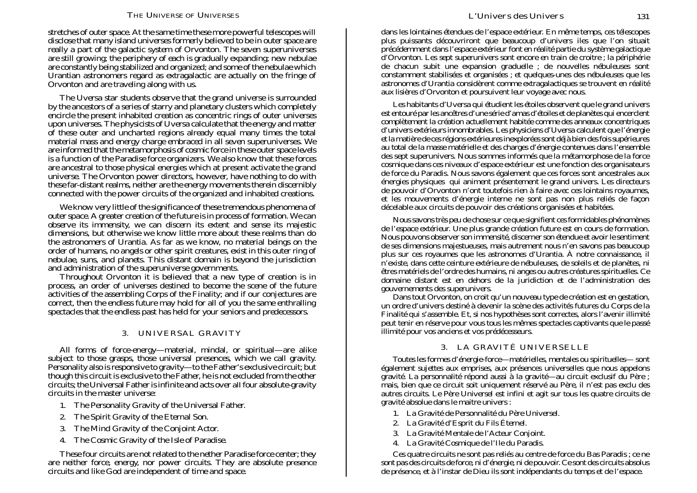stretches of outer space. At the same time these more powerful telescopes will disclose that many island universes formerly believed to be in outer space are really a part of the galactic system of Orvonton. The seven superuniverses are still growing; the periphery of each is gradually expanding; new nebulae are constantly being stabilized and organized; and some of the nebulae which Urantian astronomers regard as extragalactic are actually on the fringe of Orvonton and are traveling along with us.

The Uversa star students observe that the grand universe is surrounded by the ancestors of a series of starry and planetary clusters which completely encircle the present inhabited creation as concentric rings of outer universes upon universes. The physicists of Uversa calculate that the energy and matter of these outer and uncharted regions already equal many times the total material mass and energy charge embraced in all seven superuniverses. We are informed that the metamorphosis of cosmic force in these outer space levels is a function of the Paradise force organizers. We also know that these forces are ancestral to those physical energies which at present activate the grand universe. The Orvonton power directors, however, have nothing to do with these far-distant realms, neither are the energy movements therein discernibly connected with the power circuits of the organized and inhabited creations.

We know very little of the significance of these tremendous phenomena of outer space. A greater creation of the future is in process of formation. We can observe its immensity, we can discern its extent and sense its majestic dimensions, but otherwise we know little more about these realms than do the astronomers of Urantia. As far as we know, no material beings on the order of humans, no angels or other spirit creatures, exist in this outer ring of nebulae, suns, and planets. This distant domain is beyond the jurisdiction and administration of the superuniverse governments.

Throughout Orvonton it is believed that a new type of creation is in process, an order of universes destined to become the scene of the future activities of the assembling Corps of the Finality; and if our conjectures are correct, then the endless future may hold for all of you the same enthralling spectacles that the endless past has held for your seniors and predecessors.

## 3. UNIVERSAL GRAVITY

All forms of force-energy—material, mindal, or spiritual—are alike subject to those grasps, those universal presences, which we call gravity. Personality also is responsive to gravity—to the Father's exclusive circuit; but though this circuit is exclusive to the Father, he is not excluded from the other circuits; the Universal Father is infinite and acts over *all* four absolute-gravity circuits in the master universe:

- 1. The Personality Gravity of the Universal Father.
- 2. The Spirit Gravity of the Eternal Son.
- 3. The Mind Gravity of the Conjoint Actor.
- <sup>4</sup>. The Cosmic Gravity of the Isle of Paradise.

These four circuits are not related to the nether Paradise force center; they are neither force, energy, nor power circuits. They are absolute *presence* circuits and like God are independent of time and space.

#### L'Univers des Univers 131

dans les lointaines étendues de l'espace extérieur. En même temps, ces télescopes plus puissants découvriront que beaucoup d'univers iles que l'on situait précédemment dans l'espace extérieur font en réalité partie du système galactique d'Orvonton. Les sept superunivers sont encore en train de croitre ; la périphérie de chacun subit une expansion graduelle ; de nouvelles nébuleuses sont constamment stabilisées et organisées ; et quelques-unes des nébuleuses que les astronomes d'Urantia considèrent comme extragalactiques se trouvent en réalité aux lisières d'Orvonton et poursuivent leur voyage avec nous.

Les habitants d'Uversa qui étudient les étoiles observent que le grand univers est entouré par les ancêtres d'une série d'amas d'étoiles et de planètes qui encerclent complètement la création actuellement habitée comme des anneaux concentriques d'univers extérieurs innombrables. Les physiciens d'Uversa calculent que l'énergie et la matière de ces régions extérieures inexplorées sont déjà bien des fois supérieures au total de la masse matérielle et des charges d'énergie contenues dans l'ensemble des sept superunivers. Nous sommes informés que la métamorphose de la force cosmique dans ces niveaux d'espace extérieur est une fonction des organisateurs de force du Paradis. Nous savons également que ces forces sont ancestrales aux énergies physiques qui animent présentement le grand univers. Les directeurs de pouvoir d'Orvonton n'ont toutefois rien à faire avec ces lointains royaumes, et les mouvements d'énergie interne ne sont pas non plus reliés de façon décelable aux circuits de pouvoir des créations organisées et habitées.

Nous savons très peu de chose sur ce que signifient ces formidables phénomènes de l'espace extérieur. Une plus grande création future est en cours de formation. Nous pouvons observer son immensité, discerner son étendue et avoir le sentiment de ses dimensions majestueuses, mais autrement nous n'en savons pas beaucoup plus sur ces royaumes que les astronomes d'Urantia. À notre connaissance, il n'existe, dans cette ceinture extérieure de nébuleuses, de soleils et de planètes, ni êtres matériels de l'ordre des humains, ni anges ou autres créatures spirituelles. Ce domaine distant est en dehors de la juridiction et de l'administration des gouvernements des superunivers.

Dans tout Orvonton, on croit qu'un nouveau type de création est en gestation, un ordre d'univers destiné à devenir la scène des activités futures du Corps de la Finalité qui s'assemble. Et, si nos hypothèses sont correctes, alors l'avenir illimité peut tenir en réserve pour vous tous les mêmes spectacles captivants que le passé illimité pour vos anciens et vos prédécesseurs.

# 3. LA GRAVITÉ UNIVERSELLE

Toutes les formes d'énergie-force—matérielles, mentales ou spirituelles— sont également sujettes aux emprises, aux présences universelles que nous appelons gravité. La personnalité répond aussi à la gravité—au circuit exclusif du Père ; mais, bien que ce circuit soit uniquement réservé au Père, il n'est pas exclu des autres circuits. Le Père Universel est infini et agit sur *tous* les quatre circuits de gravité absolue dans le maitre univers :

- 1. La Gravité de Personnalité du Père Universel.
- 2. La Gravité d'Esprit du Fils Éternel.
- 3. La Gravité Mentale de l'Acteur Conjoint.
- 4. La Gravité Cosmique de l'Ile du Paradis.

Ces quatre circuits ne sont pas reliés au centre de force du Bas Paradis ; ce ne sont pas des circuits de force, ni d'énergie, ni de pouvoir. Ce sont des circuits absolus de *présence*, et à l'instar de Dieu ils sont indépendants du temps et de l'espace.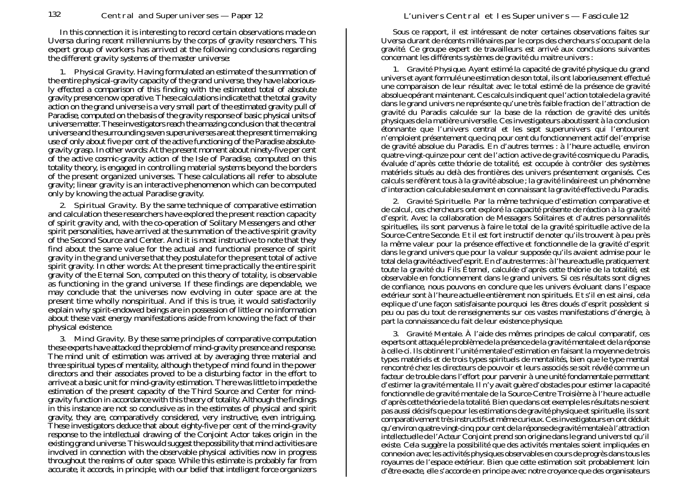In this connection it is interesting to record certain observations made on Uversa during recent millenniums by the corps of gravity researchers. This expert group of workers has arrived at the following conclusions regarding the different gravity systems of the master universe:

1. *Physical Gravity.* Having formulated an estimate of the summation of the entire physical-gravity capacity of the grand universe, they have laboriously effected a comparison of this finding with the estimated total of absolute gravity presence now operative. These calculations indicate that the total gravity action on the grand universe is a very small part of the estimated gravity pull of Paradise, computed on the basis of the gravity response of basic physical units of universe matter. These investigators reach the amazing conclusion that the central universe and the surrounding seven superuniverses are at the present time making use of only about five per cent of the active functioning of the Paradise absolutegravity grasp. In other words: At the present moment about ninety-five per cent of the active cosmic-gravity action of the Isle of Paradise, computed on this totality theory, is engaged in controlling material systems beyond the borders of the present organized universes. These calculations all refer to absolute gravity; linear gravity is an interactive phenomenon which can be computed only by knowing the actual Paradise gravity.

2. *Spiritual Gravity.* By the same technique of comparative estimation and calculation these researchers have explored the present reaction capacity of spirit gravity and, with the co-operation of Solitary Messengers and other spirit personalities, have arrived at the summation of the active spirit gravity of the Second Source and Center. And it is most instructive to note that they find about the same value for the actual and functional presence of spirit gravity in the grand universe that they postulate for the present total of active spirit gravity. In other words: At the present time practically the entire spirit gravity of the Eternal Son, computed on this theory of totality, is observable as functioning in the grand universe. If these findings are dependable, we may conclude that the universes now evolving in outer space are at the present time wholly nonspiritual. And if this is true, it would satisfactorily explain why spirit-endowed beings are in possession of little or no information about these vast energy manifestations aside from knowing the fact of their physical existence.

3. *Mind Gravity.* By these same principles of comparative computation these experts have attacked the problem of mind-gravity presence and response. The mind unit of estimation was arrived at by averaging three material and three spiritual types of mentality, although the type of mind found in the power directors and their associates proved to be a disturbing factor in the effort to arrive at a basic unit for mind-gravity estimation. There was little to impede the estimation of the present capacity of the Third Source and Center for mindgravity function in accordance with this theory of totality. Although the findings in this instance are not so conclusive as in the estimates of physical and spirit gravity, they are, comparatively considered, very instructive, even intriguing. These investigators deduce that about eighty-five per cent of the mind-gravity response to the intellectual drawing of the Conjoint Actor takes origin in the existing grand universe. This would suggest the possibility that mind activities are involved in connection with the observable physical activities now in progress throughout the realms of outer space. While this estimate is probably far from accurate, it accords, in principle, with our belief that intelligent force organizers

# <sup>132</sup> Central and Superuniverses — *Paper <sup>12</sup>* L'univers Central et les Superunivers — *Fascicule <sup>12</sup>*

Sous ce rapport, il est intéressant de noter certaines observations faites sur Uversa durant de récents millénaires par le corps des chercheurs s'occupant de la gravité. Ce groupe expert de travailleurs est arrivé aux conclusions suivantes concernant les différents systèmes de gravité du maitre univers :

1. *Gravité Physique*. Ayant estimé la capacité de gravité physique du grand univers et ayant formulé une estimation de son total, ils ont laborieusement effectué une comparaison de leur résultat avec le total estimé de la présence de gravité absolue opérant maintenant. Ces calculs indiquent que l'action totale de la gravité dans le grand univers ne représente qu'une très faible fraction de l'attraction de gravité du Paradis calculée sur la base de la réaction de gravité des unités physiques de la matière universelle. Ces investigateurs aboutissent à la conclusion étonnante que l'univers central et les sept superunivers qui l'entourent n'emploient présentement que cinq pour cent du fonctionnement actif de l'emprise de gravité absolue du Paradis. En d'autres termes : à l'heure actuelle, environ quatre-vingt-quinze pour cent de l'action active de gravité cosmique du Paradis, évaluée d'après cette théorie de totalité, est occupée à contrôler des systèmes matériels situés au delà des frontières des univers présentement organisés. Ces calculs se réfèrent tous à la gravité absolue ; la gravité linéaire est un phénomène d'interaction calculable seulement en connaissant la gravité effective du Paradis.

2. *Gravité Spirituelle*. Par la même technique d'estimation comparative et de calcul, ces chercheurs ont exploré la capacité présente de réaction à la gravité d'esprit. Avec la collaboration de Messagers Solitaires et d'autres personnalités spirituelles, ils sont parvenus à faire le total de la gravité spirituelle active de la Source-Centre Seconde. Et il est fort instructif de noter qu'ils trouvent à peu près la même valeur pour la présence effective et fonctionnelle de la gravité d'esprit dans le grand univers que pour la valeur supposée qu'ils avaient admise pour le total de la gravité active d'esprit. En d'autres termes : à l'heure actuelle, pratiquement toute la gravité du Fils Éternel, calculée d'après cette théorie de la totalité, est observable en fonctionnement dans le grand univers. Si ces résultats sont dignes de confiance, nous pouvons en conclure que les univers évoluant dans l'espace extérieur sont à l'heure actuelle entièrement non spirituels. Et s'il en est ainsi, cela explique d'une façon satisfaisante pourquoi les êtres doués d'esprit possèdent si peu ou pas du tout de renseignements sur ces vastes manifestations d'énergie, à part la connaissance du fait de leur existence physique.

<sup>3</sup>. *Gravité Mentale*. À l'aide des mêmes principes de calcul comparatif, ces experts ont attaqué le problème de la présence de la gravité mentale et de la réponse à celle-ci. Ils obtinrent l'unité mentale d'estimation en faisant la moyenne de trois types matériels et de trois types spirituels de mentalités, bien que le type mental rencontré chez les directeurs de pouvoir et leurs associés se soit révélé comme un facteur de trouble dans l'effort pour parvenir à une unité fondamentale permettant d'estimer la gravité mentale. Il n'y avait guère d'obstacles pour estimer la capacité fonctionnelle de gravité mentale de la Source-Centre Troisième à l'heure actuelle d'après cette théorie de la totalité. Bien que dans cet exemple les résultats ne soient pas aussi décisifs que pour les estimations de gravité physique et spirituelle, ils sont comparativement très instructifs et même curieux. Ces investigateurs en ont déduit qu'environ quatre-vingt-cinq pour cent de la réponse de gravité mentale à l'attraction intellectuelle de l'Acteur Conjoint prend son origine dans le grand univers tel qu'il existe. Cela suggère la possibilité que des activités mentales soient impliquées en connexion avec les activités physiques observables en cours de progrès dans tous les royaumes de l'espace extérieur. Bien que cette estimation soit probablement loin d'être exacte, elle s'accorde en principe avec notre croyance que des organisateurs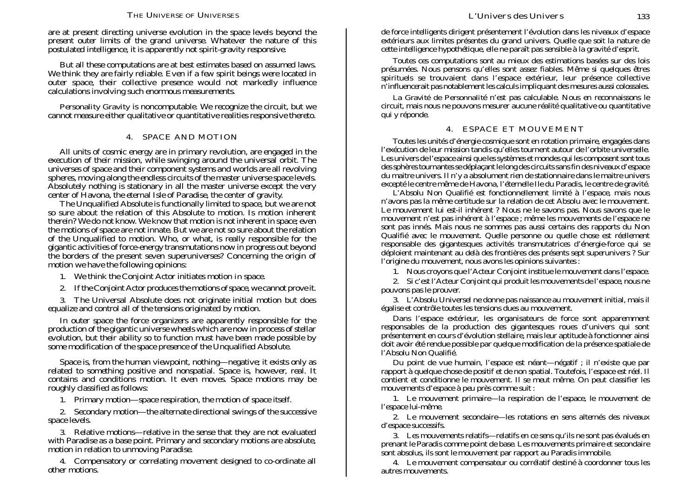are at present directing universe evolution in the space levels beyond the present outer limits of the grand universe. Whatever the nature of this postulated intelligence, it is apparently not spirit-gravity responsive.

But all these computations are at best estimates based on assumed laws. We think they are fairly reliable. Even if a few spirit beings were located in outer space, their collective presence would not markedly influence calculations involving such enormous measurements.

*Personality Gravity* is noncomputable. We recognize the circuit, but we cannot measure either qualitative or quantitative realities responsive thereto.

#### 4. SPACE AND MOTION

All units of cosmic energy are in primary revolution, are engaged in the execution of their mission, while swinging around the universal orbit. The universes of space and their component systems and worlds are all revolving spheres, moving along the endless circuits of the master universe space levels. Absolutely nothing is stationary in all the master universe except the very center of Havona, the eternal Isle of Paradise, the center of gravity.

The Unqualified Absolute is functionally limited to space, but we are not so sure about the relation of this Absolute to motion. Is motion inherent therein? We do not know. We know that motion is not inherent in space; even the motions *of* space are not innate. But we are not so sure about the relation of the Unqualified to motion. Who, or what, is really responsible for the gigantic activities of force-energy transmutations now in progress out beyond the borders of the present seven superuniverses? Concerning the origin of motion we have the following opinions:

1. We think the Conjoint Actor initiates motion *in* space.

2. If the Conjoint Actor produces the motions *of*space, we cannot prove it.

3. The Universal Absolute does not originate initial motion but does equalize and control all of the tensions originated by motion.

In outer space the force organizers are apparently responsible for the production of the gigantic universe wheels which are now in process of stellar evolution, but their ability so to function must have been made possible by some modification of the space presence of the Unqualified Absolute.

Space is, from the human viewpoint, nothing—negative; it exists only as related to something positive and nonspatial. Space is, however, real. It contains and conditions motion. It even moves. Space motions may be roughly classified as follows:

1. Primary motion—space respiration, the motion of space itself.

2. Secondary motion—the alternate directional swings of the successive space levels.

3. Relative motions—relative in the sense that they are not evaluated with Paradise as a base point. Primary and secondary motions are absolute, motion in relation to unmoving Paradise.

<sup>4</sup>. Compensatory or correlating movement designed to co-ordinate all other motions.

#### L'Univers des Univers 133

de force intelligents dirigent présentement l'évolution dans les niveaux d'espace extérieurs aux limites présentes du grand univers. Quelle que soit la nature de cette intelligence hypothétique, elle ne paraît pas sensible à la gravité d'esprit.

Toutes ces computations sont au mieux des estimations basées sur des lois présumées. Nous pensons qu'elles sont assez fiables. Même si quelques êtres spirituels se trouvaient dans l'espace extérieur, leur présence collective n'influencerait pas notablement les calculs impliquant des mesures aussi colossales.

*La Gravité de Personnalit*é n'est pas calculable. Nous en reconnaissons le circuit, mais nous ne pouvons mesurer aucune réalité qualitative ou quantitative qui y réponde.

## 4. ESPACE ET MOUVEMENT

Toutes les unités d'énergie cosmique sont en rotation primaire, engagées dans l'exécution de leur mission tandis qu'elles tournent autour de l'orbite universelle. Les univers de l'espace ainsi que les systèmes et mondes qui les composent sont tous des sphères tournantes se déplaçant le long des circuits sans fin des niveaux d'espace du maitre univers. Il n'y a absolument rien de stationnaire dans le maitre univers excepté le centre même de Havona, l'éternelle Ile du Paradis, le centre de gravité.

L'Absolu Non Qualifié est fonctionnellement limité à l'espace, mais nous n'avons pas la même certitude sur la relation de cet Absolu avec le mouvement. Le mouvement lui est-il inhérent ? Nous ne le savons pas. Nous savons que le mouvement n'est pas inhérent à l'espace ; même les mouvements *de* l'espace ne sont pas innés. Mais nous ne sommes pas aussi certains des rapports du Non Qualifié avec le mouvement. Quelle personne ou quelle chose est réellement responsable des gigantesques activités transmutatrices d'énergie-force qui se déploient maintenant au delà des frontières des présents sept superunivers ? Sur l'origine du mouvement, nous avons les opinions suivantes :

1. Nous croyons que l'Acteur Conjoint institue le mouvement *dans* l'espace.

2. Si c'est l'Acteur Conjoint qui produit les mouvements *de* l'espace, nous ne pouvons pas le prouver.

3. L'Absolu Universel ne donne pas naissance au mouvement initial, mais il égalise et contrôle toutes les tensions dues au mouvement.

Dans l'espace extérieur, les organisateurs de force sont apparemment responsables de la production des gigantesques roues d'univers qui sont présentement en cours d'évolution stellaire, mais leur aptitude à fonctionner ainsi doit avoir été rendue possible par quelque modification de la présence spatiale de l'Absolu Non Qualifié.

Du point de vue humain, l'espace est néant—négatif ; il n'existe que par rapport à quelque chose de positif et de non spatial. Toutefois, l'espace est réel. Il contient et conditionne le mouvement. Il se meut même. On peut classifier les mouvements d'espace à peu près comme suit :

1. Le mouvement primaire—la respiration de l'espace, le mouvement de l'espace lui-même.

2. Le mouvement secondaire—les rotations en sens alternés des niveaux d'espace successifs.

3. Les mouvements relatifs—relatifs en ce sens qu'ils ne sont pas évalués en prenant le Paradis comme point de base. Les mouvements primaire et secondaire sont absolus, ils sont le mouvement par rapport au Paradis immobile.

4. Le mouvement compensateur ou corrélatif destiné à coordonner tous les autres mouvements.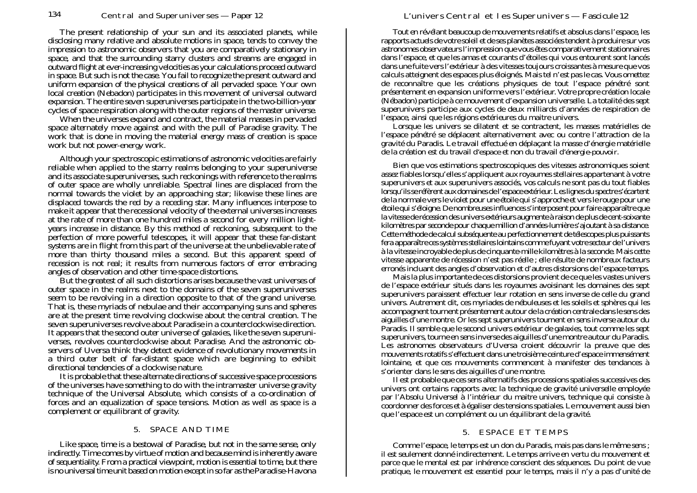The present relationship of your sun and its associated planets, while disclosing many relative and absolute motions in space, tends to convey the impression to astronomic observers that you are comparatively stationary in space, and that the surrounding starry clusters and streams are engaged in outward flight at ever-increasing velocities as your calculations proceed outward in space. But such is not the case. You fail to recognize the present outward and uniform expansion of the physical creations of all pervaded space. Your own local creation (Nebadon) participates in this movement of universal outward expansion. The entire seven superuniverses participate in the two-billion-year cycles of space respiration along with the outer regions of the master universe.

When the universes expand and contract, the material masses in pervaded space alternately move against and with the pull of Paradise gravity. The work that is done in moving the material energy mass of creation is *space* work but not *power-energy* work.

Although your spectroscopic estimations of astronomic velocities are fairly reliable when applied to the starry realms belonging to your superuniverse and its associate superuniverses, such reckonings with reference to the realms of outer space are wholly unreliable. Spectral lines are displaced from the normal towards the violet by an approaching star; likewise these lines are displaced towards the red by a receding star. Many influences interpose to make it appear that the recessional velocity of the external universes increases at the rate of more than one hundred miles a second for every million lightyears increase in distance. By this method of reckoning, subsequent to the perfection of more powerful telescopes, it will appear that these far-distant systems are in flight from this part of the universe at the unbelievable rate of more than thirty thousand miles a second. But this apparent speed of recession is not real; it results from numerous factors of error embracing angles of observation and other time-space distortions.

But the greatest of all such distortions arises because the vast universes of outer space in the realms next to the domains of the seven superuniverses seem to be revolving in a direction opposite to that of the grand universe. That is, these myriads of nebulae and their accompanying suns and spheres are at the present time revolving clockwise about the central creation. The seven superuniverses revolve about Paradise in a counterclockwise direction. It appears that the second outer universe of galaxies, like the seven superuniverses, revolves counterclockwise about Paradise. And the astronomic observers of Uversa think they detect evidence of revolutionary movements in a third outer belt of far-distant space which are beginning to exhibit directional tendencies of a clockwise nature.

It is probable that these alternate directions of successive space processions of the universes have something to do with the intramaster universe gravity technique of the Universal Absolute, which consists of a co-ordination of forces and an equalization of space tensions. Motion as well as space is a complement or equilibrant of gravity.

#### 5. SPACE AND TIME

Like space, time is a bestowal of Paradise, but not in the same sense, only indirectly. Time comes by virtue of motion and because mind is inherently aware of sequentiality. From a practical viewpoint, motion is essential to time, but there is no universal time unit based on motion except in so far as the Paradise-Havona

# <sup>134</sup> Central and Superuniverses — *Paper <sup>12</sup>* L'univers Central et les Superunivers — *Fascicule <sup>12</sup>*

Tout en révélant beaucoup de mouvements relatifs et absolus dans l'espace, les rapports actuels de votre soleil et de ses planètes associées tendent à produire sur vos astronomes observateurs l'impression que vous êtes comparativement stationnaires dans l'espace, et que les amas et courants d'étoiles qui vous entourent sont lancés dans une fuite vers l'extérieur à des vitesses toujours croissantes à mesure que vos calculs atteignent des espaces plus éloignés. Mais tel n'est pas le cas. Vous omettez de reconnaître que les créations physiques de tout l'espace pénétré sont présentement en expansion uniforme vers l'extérieur. Votre propre création locale (Nébadon) participe à ce mouvement d'expansion universelle. La totalité des sept superunivers participe aux cycles de deux milliards d'années de respiration de l'espace, ainsi que les régions extérieures du maitre univers.

Lorsque les univers se dilatent et se contractent, les masses matérielles de l'espace pénétré se déplacent alternativement avec ou contre l'attraction de la gravité du Paradis. Le travail effectué en déplaçant la masse d'énergie matérielle de la création est du travail d*'espace* et non du travail d*'énergie-pouvoir*.

Bien que vos estimations spectroscopiques des vitesses astronomiques soient assez fiables lorsqu'elles s'appliquent aux royaumes stellaires appartenant à votre superunivers et aux superunivers associés, vos calculs ne sont pas du tout fiables lorsqu'ils se réfèrent aux domaines de l'espace extérieur. Les lignes du spectre s'écartent de la normale vers le violet pour une étoile qui s'approche et vers le rouge pour une étoile qui s'éloigne. De nombreuses influences s'interposent pour faire apparaître que la vitesse de récession des univers extérieurs augmente à raison de plus de cent-soixante kilomètres par seconde pour chaque million d'années-lumière s'ajoutant à sa distance. Cette méthode de calcul subséquente au perfectionnement de télescopes plus puissants fera apparaître ces systèmes stellaires lointains comme fuyant votre secteur de l'univers à la vitesse incroyable de plus de cinquante-mille kilomètres à la seconde. Mais cette vitesse apparente de récession n'est pas réelle ; elle résulte de nombreux facteurs erronés incluant des angles d'observation et d'autres distorsions de l'espace-temps.

Mais la plus importante de ces distorsions provient de ce que les vastes univers de l'espace extérieur situés dans les royaumes avoisinant les domaines des sept superunivers paraissent effectuer leur rotation en sens inverse de celle du grand univers. Autrement dit, ces myriades de nébuleuses et les soleils et sphères qui les accompagnent tournent présentement autour de la création centrale dans le sens des aiguilles d'une montre. Or les sept superunivers tournent en sens inverse autour du Paradis. Il semble que le second univers extérieur de galaxies, tout comme les sept superunivers, tourne en sens inverse des aiguilles d'une montre autour du Paradis. Les astronomes observateurs d'Uversa croient découvrir la preuve que des mouvements rotatifs s'effectuent dans une troisième ceinture d'espace immensément lointaine, et que ces mouvements commencent à manifester des tendances à s'orienter dans le sens des aiguilles d'une montre.

Il est probable que ces sens alternatifs des processions spatiales successives des univers ont certains rapports avec la technique de gravité universelle employée par l'Absolu Universel à l'intérieur du maitre univers, technique qui consiste à coordonner des forces et à égaliser des tensions spatiales. Le mouvement aussi bien que l'espace est un complément ou un équilibrant de la gravité.

## 5. ESPACE ET TEMPS

Comme l'espace, le temps est un don du Paradis, mais pas dans le même sens ; il est seulement donné indirectement. Le temps arrive en vertu du mouvement et parce que le mental est par inhérence conscient des séquences. Du point de vue pratique, le mouvement est essentiel pour le temps, mais il n'y a pas d'unité de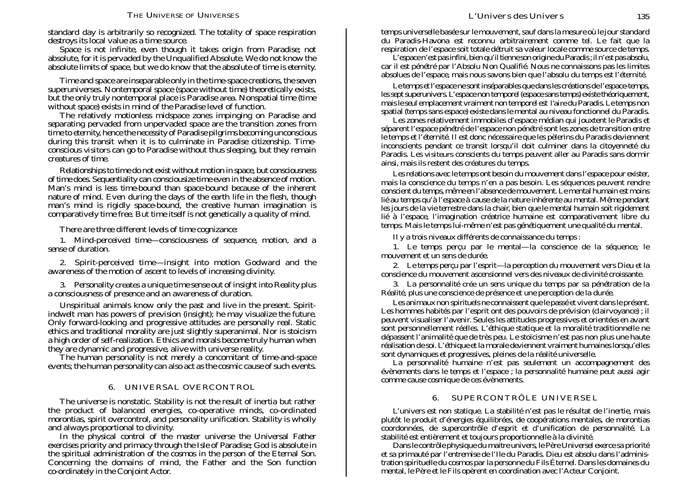standard day is arbitrarily so recognized. The totality of space respiration destroys its local value as a time source.

Space is not infinite, even though it takes origin from Paradise; not absolute, for it is pervaded by the Unqualified Absolute. We do not know the absolute limits of space, but we do know that the absolute of time is eternity.

Time and space are inseparable only in the time-space creations, the seven superuniverses. Nontemporal space (space without time) theoretically exists, but the only truly nontemporal place is Paradise *area.* Nonspatial time (time without space) exists in mind of the Paradise level of function.

The relatively motionless midspace zones impinging on Paradise and separating pervaded from unpervaded space are the transition zones from time to eternity, hence the necessity of Paradise pilgrims becoming unconscious during this transit when it is to culminate in Paradise citizenship. Timeconscious *visitors* can go to Paradise without thus sleeping, but they remain creatures of time.

Relationships to time do not exist without motion in space, but consciousness of time does. Sequentiality can consciousize time even in the absence of motion. Man's mind is less time-bound than space-bound because of the inherent nature of mind. Even during the days of the earth life in the flesh, though man's mind is rigidly space-bound, the creative human imagination is comparatively time free. But time itself is not genetically a quality of mind.

There are three different levels of time cognizance:

1. Mind-perceived time—consciousness of sequence, motion, and a sense of duration.

2. Spirit-perceived time—insight into motion Godward and the awareness of the motion of ascent to levels of increasing divinity.

3. Personality *creates* a unique time sense out of insight into Reality plus a consciousness of presence and an awareness of duration.

Unspiritual animals know only the past and live in the present. Spirit- indwelt man has powers of prevision (insight); he may visualize the future. Only forward-looking and progressive attitudes are personally real. Static ethics and traditional morality are just slightly superanimal. Nor is stoicism a high order of self-realization. Ethics and morals become truly human when they are dynamic and progressive, alive with universe reality.

The human personality is not merely a concomitant of time-and-space events; the human personality can also act as the cosmic cause of such events.

#### 6. UNIVERSAL OVERCONTROL

The universe is nonstatic. Stability is not the result of inertia but rather the product of balanced energies, co-operative minds, co-ordinated morontias, spirit overcontrol, and personality unification. Stability is wholly and always proportional to divinity.

In the physical control of the master universe the Universal Father exercises priority and primacy through the Isle of Paradise; God is absolute in the spiritual administration of the cosmos in the person of the Eternal Son. Concerning the domains of mind, the Father and the Son function co-ordinately in the Conjoint Actor.

temps universelle basée sur le mouvement, sauf dans la mesure où le jour standard du Paradis-Havona est reconnu arbitrairement comme tel. Le fait que la respiration de l'espace soit totale détruit sa valeur locale comme source de temps.

L'espace n'est pas infini, bien qu'il tienne son origine du Paradis ; il n'est pas absolu, car il est pénétré par l'Absolu Non Qualifié. Nous ne connaissons pas les limites absolues de l'espace, mais nous savons bien que l'absolu du temps est l'éternité.

Le temps et l'espace ne sont inséparables que dans les créations de l'espace-temps, les sept superunivers. L'espace non temporel (espace sans temps) existe théoriquement, mais le seul emplacement vraiment non temporel est *l'aire* du Paradis. Le temps non spatial (temps sans espace) existe dans le mental au niveau fonctionnel du Paradis.

Les zones relativement immobiles d'espace médian qui jouxtent le Paradis et séparent l'espace pénétré de l'espace non pénétré sont les zones de transition entre le temps et l'éternité. Il est donc nécessaire que les pèlerins du Paradis deviennent inconscients pendant ce transit lorsqu'il doit culminer dans la citoyenneté du Paradis. Les *visiteurs* conscients du temps peuvent aller au Paradis sans dormir ainsi, mais ils restent des créatures du temps.

Les relations avec le temps ont besoin du mouvement dans l'espace pour exister, mais la conscience du temps n'en a pas besoin. Les séquences peuvent rendre conscient du temps, même en l'absence de mouvement. Le mental humain est moins lié au temps qu'à l'espace à cause de la nature inhérente au mental. Même pendant les jours de la vie terrestre dans la chair, bien que le mental humain soit rigidement lié à l'espace, l'imagination créatrice humaine est comparativement libre du temps. Mais le temps lui-même n'est pas génétiquement une qualité du mental.

Il y a trois niveaux différents de connaissance du temps :

1. Le temps perçu par le mental—la conscience de la séquence, le mouvement et un sens de durée.

2. Le temps perçu par l'esprit—la perception du mouvement vers Dieu et la conscience du mouvement ascensionnel vers des niveaux de divinité croissante.

3. La personnalité *crée* un sens unique du temps par sa pénétration de la Réalité, plus une conscience de présence et une perception de la durée.

Les animaux non spirituels ne connaissent que le passé et vivent dans le présent. Les hommes habités par l'esprit ont des pouvoirs de prévision (clairvoyance) ; il peuvent visualiser l'avenir. Seules les attitudes progressives et orientées en avant sont personnellement réelles. L'éthique statique et la moralité traditionnelle ne dépassent l'animalité que de très peu. Le stoïcisme n'est pas non plus une haute réalisation de soi. L'éthique et la morale deviennent vraiment humaines lorsqu'elles sont dynamiques et progressives, pleines de la réalité universelle.

La personnalité humaine n'est pas seulement un accompagnement des évènements dans le temps et l'espace ; la personnalité humaine peut aussi agir comme cause cosmique de ces évènements.

#### 6. SUPERCONTRÔLE UNIVERSEL

L'univers est non statique. La stabilité n'est pas le résultat de l'inertie, mais plutôt le produit d'énergies équilibrées, de coopérations mentales, de morontias coordonnées, de supercontrôle d'esprit et d'unification de personnalité. La stabilité est entièrement et toujours proportionnelle à la divinité.

Dans le contrôle physique du maitre univers, le Père Universel exerce sa priorité et sa primauté par l'entremise de l'Ile du Paradis. Dieu est absolu dans l'administrationspirituelle du cosmos par la personne du Fils Éternel. Dans les domaines du mental, le Père et le Fils opèrent en coordination avec l'Acteur Conjoint.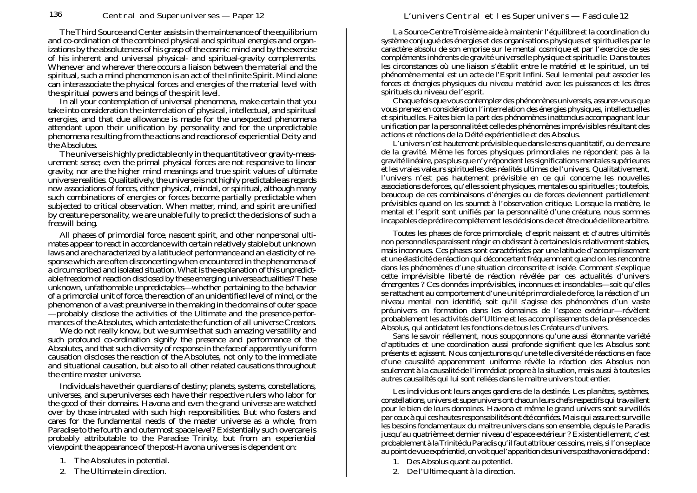The Third Source and Center assists in the maintenance of the equilibrium and co-ordination of the combined physical and spiritual energies and organizations by the absoluteness of his grasp of the cosmic mind and by the exercise of his inherent and universal physical- and spiritual-gravity complements. Whenever and wherever there occurs a liaison between the material and the spiritual, such a mind phenomenon is an act of the Infinite Spirit. Mind alone can interassociate the physical forces and energies of the material level with the spiritual powers and beings of the spirit level.

In all your contemplation of universal phenomena, make certain that you take into consideration the interrelation of physical, intellectual, and spiritual energies, and that due allowance is made for the unexpected phenomena attendant upon their unification by personality and for the unpredictable phenomena resulting from the actions and reactions of experiential Deity and the Absolutes.

The universe is highly predictable only in the quantitative or gravity-measurement sense; even the primal physical forces are not responsive to linear gravity, nor are the higher mind meanings and true spirit values of ultimate universe realities. Qualitatively, the universe is not highly predictable as regards new associations of forces, either physical, mindal, or spiritual, although many such combinations of energies or forces become partially predictable when subjected to critical observation. When matter, mind, and spirit are unified by creature personality, we are unable fully to predict the decisions of such a freewill being.

All phases of primordial force, nascent spirit, and other nonpersonal ultimates appear to react in accordance with certain relatively stable but unknown laws and are characterized by a latitude of performance and an elasticity of response which are often disconcerting when encountered in the phenomena of a circumscribed and isolated situation. What is the explanation of this unpredictable freedom of reaction disclosed by these emerging universe actualities? These unknown, unfathomable unpredictables—whether pertaining to the behavior of a primordial unit of force, the reaction of an unidentified level of mind, or the phenomenon of a vast preuniverse in the making in the domains of outer space —probably disclose the activities of the Ultimate and the presence-performances of the Absolutes, which antedate the function of all universe Creators.

We do not really know, but we surmise that such amazing versatility and such profound co-ordination signify the presence and performance of the Absolutes, and that such diversity of response in the face of apparently uniform causation discloses the reaction of the Absolutes, not only to the immediate and situational causation, but also to all other related causations throughout the entire master universe.

Individuals have their guardians of destiny; planets, systems, constellations, universes, and superuniverses each have their respective rulers who labor for the good of their domains. Havona and even the grand universe are watched over by those intrusted with such high responsibilities. But who fosters and cares for the fundamental needs of the master universe as a whole, from Paradise to the fourth and outermost space level? Existentially such overcare is probably attributable to the Paradise Trinity, but from an experiential viewpoint the appearance of the post-Havona universes is dependent on:

- 1. The Absolutes in potential.
- 2. The Ultimate in direction.

# <sup>136</sup> Central and Superuniverses — *Paper <sup>12</sup>* L'univers Central et les Superunivers — *Fascicule <sup>12</sup>*

La Source-Centre Troisième aide à maintenir l'équilibre et la coordination du système conjugué des énergies et des organisations physiques et spirituelles par le caractère absolu de son emprise sur le mental cosmique et par l'exercice de ses compléments inhérents de gravité universelle physique et spirituelle. Dans toutes les circonstances où une liaison s'établit entre le matériel et le spirituel, un tel phénomène mental est un acte de l'Esprit Infini. Seul le mental peut associer les forces et énergies physiques du niveau matériel avec les puissances et les êtres spirituels du niveau de l'esprit.

Chaque fois que vous contemplez des phénomènes universels, assurez-vous que vous prenez en considération l'interrelation des énergies physiques, intellectuelles et spirituelles. Faites bien la part des phénomènes inattendus accompagnant leur unification par la personnalité et celle des phénomènes imprévisibles résultant des actions et réactions de la Déité expérientielle et des Absolus.

L'univers n'est hautement prévisible que dans le sens quantitatif, ou de mesure de la gravité. Même les forces physiques primordiales ne répondent pas à la gravité linéaire, pas plus que n'y répondent les significations mentales supérieures et les vraies valeurs spirituelles des réalités ultimes de l'univers. Qualitativement, l'univers n'est pas hautement prévisible en ce qui concerne les nouvelles associations de forces, qu'elles soient physiques, mentales ou spirituelles ; toutefois, beaucoup de ces combinaisons d'énergies ou de forces deviennent partiellement prévisibles quand on les soumet à l'observation critique. Lorsque la matière, le mental et l'esprit sont unifiés par la personnalité d'une créature, nous sommes incapables de prédire complètement les décisions de cet être doué de libre arbitre.

Toutes les phases de force primordiale, d'esprit naissant et d'autres ultimités non personnelles paraissent réagir en obéissant à certaines lois relativement stables, mais inconnues. Ces phases sont caractérisées par une latitude d'accomplissement et une élasticité de réaction qui déconcertent fréquemment quand on les rencontre dans les phénomènes d'une situation circonscrite et isolée. Comment s'explique cette imprévisible liberté de réaction révélée par ces actualités d'univers émergentes ? Ces données imprévisibles, inconnues et insondables—soit qu'elles se rattachent au comportement d'une unité primordiale de force, la réaction d'un niveau mental non identifié, soit qu'il s'agisse des phénomènes d'un vaste préunivers en formation dans les domaines de l'espace extérieur—révèlent probablement les activités de l'Ultime et les accomplissements de la présence des Absolus, qui antidatent les fonctions de tous les Créateurs d'univers.

Sans le savoir réellement, nous soupçonnons qu'une aussi étonnante variété d'aptitudes et une coordination aussi profonde signifient que les Absolus sont présents et agissent. Nous conjecturons qu'une telle diversité de réactions en face d'une causalité apparemment uniforme révèle la réaction des Absolus non seulement à la causalité de l'immédiat propre à la situation, mais aussi à toutes les autres causalités qui lui sont reliées dans le maitre univers tout entier.

Les individus ont leurs anges gardiens de la destinée. Les planètes, systèmes, constellations, univers et superunivers ont chacun leurs chefs respectifs qui travaillent pour le bien de leurs domaines. Havona et même le grand univers sont surveillés par ceux à qui ces hautes responsabilités ont été confiées. Mais qui assure et surveille les besoins fondamentaux du maitre univers dans son ensemble, depuis le Paradis jusqu'au quatrième et dernier niveau d'espace extérieur ? Existentiellement, c'est probablement à la Trinité du Paradis qu'il faut attribuer ces soins, mais, si l'on se place au point de vue expérientiel, on voit que l'apparition des univers posthavoniens dépend:

- 1. Des Absolus quant au potentiel.
- 2. De l'Ultime quant à la direction.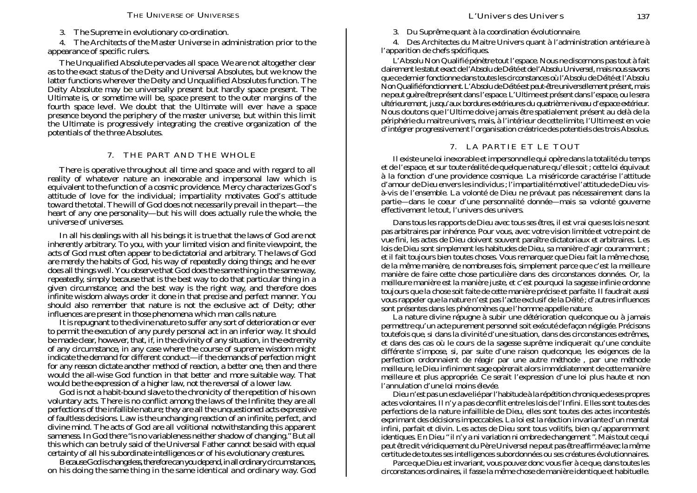3. The Supreme in evolutionary co-ordination.

4. The Architects of the Master Universe in administration prior to the appearance of specific rulers.

The Unqualified Absolute pervades all space. We are not altogether clear as to the exact status of the Deity and Universal Absolutes, but we know the latter functions wherever the Deity and Unqualified Absolutes function. The Deity Absolute may be universally present but hardly space present. The Ultimate is, or sometime will be, space present to the outer margins of the fourth space level. We doubt that the Ultimate will ever have a space presence beyond the periphery of the master universe, but within this limit the Ultimate is progressively integrating the creative organization of the potentials of the three Absolutes.

# 7. THE PART AND THE WHOLE

There is operative throughout all time and space and with regard to all reality of whatever nature an inexorable and impersonal law which is equivalent to the function of a cosmic providence. Mercy characterizes God's attitude of love for the individual; impartiality motivates God's attitude toward the total. The will of God does not necessarily prevail in the part—the heart of any one personality—but his will does actually rule the whole, the universe of universes.

In all his dealings with all his beings it is true that the laws of God are not inherently arbitrary. To you, with your limited vision and finite viewpoint, the acts of God must often appear to be dictatorial and arbitrary. The laws of God are merely the habits of God, his way of repeatedly doing things; and he ever does all things well. You observe that God does the same thing in the same way, repeatedly, simply because that is the best way to do that particular thing in a given circumstance; and the best way is the right way, and therefore does infinite wisdom always order it done in that precise and perfect manner. You should also remember that nature is not the exclusive act of Deity; other influences are present in those phenomena which man calls nature.

It is repugnant to the divine nature to suffer any sort of deterioration or ever to permit the execution of any purely personal act in an inferior way. It should be made clear, however, that, *if,* in the divinity of any situation, in the extremity of any circumstance, in any case where the course of supreme wisdom might indicate the demand for different conduct—if the demands of perfection might for any reason dictate another method of reaction, a better one, then and there would the all-wise God function in that better and more suitable way. That would be the expression of a higher law, not the reversal of a lower law.

God is not a habit-bound slave to the chronicity of the repetition of his own voluntary acts. There is no conflict among the laws of the Infinite; they are all perfections of the infallible nature; they are all the unquestioned acts expressive of faultless decisions. Law is the unchanging reaction of an infinite, perfect, and divine mind. The acts of God are all volitional notwithstanding this apparent sameness. In God there "is no variableness neither shadow of changing." But all this which can be truly said of the Universal Father cannot be said with equal certainty of all his subordinate intelligences or of his evolutionary creatures.

Because God is changeless, therefore can you depend, in all ordinary circumstances, on his doing the same thing in the same identical and ordinary way. God L'Univers des Univers 137

3. Du Suprême quant à la coordination évolutionnaire.

4. Des Architectes du Maitre Univers quant à l'administration antérieure à l'apparition de chefs spécifiques.

L'Absolu Non Qualifié pénètre tout l'espace. Nous ne discernons pas tout à fait clairement le statut exact de l'Absolu de Déité et de l'Absolu Universel, mais nous savons que ce dernier fonctionne dans toutes les circonstances où l'Absolu de Déité et l'Absolu Non Qualifié fonctionnent. L'Absolu de Déité est peut-être universellement présent, mais ne peut guère être présent dans l'espace. L'Ultime est présent dans l'espace, ou le sera ultérieurement, jusqu'aux bordures extérieures du quatrième niveau d'espace extérieur. Nous doutons que l'Ultime doive jamais être spatialement présent au delà de la périphérie du maitre univers, mais, à l'intérieur de cette limite, l'Ultime est en voie d'intégrer progressivement l'organisation créatrice des potentiels des trois Absolus.

## 7. LA PARTIE ET LE TOUT

Il existe une loi inexorable et impersonnelle qui opère dans la totalité du temps et de l'espace, et sur toute réalité de quelque nature qu'elle soit ; cette loi équivaut à la fonction d'une providence cosmique. La miséricorde caractérise l'attitude d'amour de Dieu envers les individus ; l'impartialité motive l'attitude de Dieu visà-vis de l'ensemble. La volonté de Dieu ne prévaut pas nécessairement dans la partie—dans le coeur d'une personnalité donnée—mais sa volonté gouverne effectivement le tout, l'univers des univers.

Dans tous les rapports de Dieu avec tous ses êtres, il est vrai que ses lois ne sont pas arbitraires par inhérence. Pour vous, avec votre vision limitée et votre point de vue fini, les actes de Dieu doivent souvent paraître dictatoriaux et arbitraires. Les lois de Dieu sont simplement les habitudes de Dieu, sa manière d'agir couramment ; et il fait toujours bien toutes choses. Vous remarquez que Dieu fait la même chose, de la même manière, de nombreuses fois, simplement parce que c'est la meilleure manière de faire cette chose particulière dans des circonstances données. Or, la meilleure manière est la manière juste, et c'est pourquoi la sagesse infinie ordonne toujours que la chose soit faite de cette manière précise et parfaite. Il faudrait aussi vous rappeler que la nature n'est pas l'acte exclusif de la Déité ; d'autres influences sont présentes dans les phénomènes que l'homme appelle nature.

La nature divine répugne à subir une détérioration quelconque ou à jamais permettre qu'un acte purement personnel soit exécuté de façon négligée. Précisons toutefois que*, si* dans la divinité d'une situation, dans des circonstances extrêmes, et dans des cas où le cours de la sagesse suprême indiquerait qu'une conduite différente s'impose, si, par suite d'une raison quelconque, les exigences de la perfection ordonnaient de réagir par une autre méthode , par une méthode meilleure, le Dieu infiniment sage opèrerait alors immédiatement de cette manière meilleure et plus appropriée. Ce serait l'expression d'une loi plus haute et non l'annulation d'une loi moins élevée.

Dieu n'est pas un esclave lié par l'habitude à la répétition chronique de ses propres actes volontaires. Il n'y a pas de conflit entre les lois de l'Infini. Elles sont toutes des perfections de la nature infaillible de Dieu, elles sont toutes des actes incontestés exprimant des décisions impeccables. La loi est la réaction invariante d'un mental infini, parfait et divin. Les actes de Dieu sont tous volitifs, bien qu'apparemment identiques. En Dieu " il n'y a ni variation ni ombre de changement ". Mais tout ce qui peut être dit véridiquement du Père Universel ne peut pas être affirmé avec la même certitude de toutes ses intelligences subordonnées ou ses créatures évolutionnaires.

Parce que Dieu est invariant, vous pouvez donc vous fier à ce que, dans toutes les circonstances ordinaires, il fasse la même chose de manière identique et habituelle.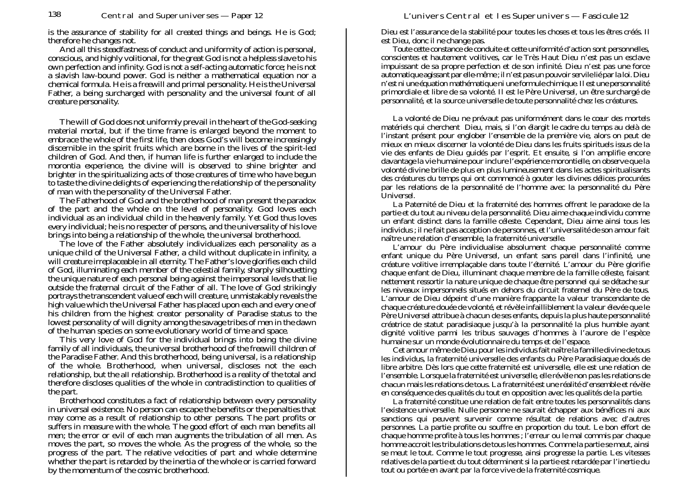is the assurance of stability for all created things and beings. He is God; therefore he changes not.

And all this steadfastness of conduct and uniformity of action is personal, conscious, and highly volitional, for the great God is not a helpless slave to his own perfection and infinity. God is not a self-acting automatic force; he is not a slavish law-bound power. God is neither a mathematical equation nor a chemical formula. He is a freewill and primal personality. He is the Universal Father, a being surcharged with personality and the universal fount of all creature personality.

The will of God does not uniformly prevail in the heart of the God-seeking material mortal, but if the time frame is enlarged beyond the moment to embrace the whole of the first life, then does God's will become increasingly discernible in the spirit fruits which are borne in the lives of the spirit-led children of God. And then, if human life is further enlarged to include the morontia experience, the divine will is observed to shine brighter and brighter in the spiritualizing acts of those creatures of time who have begun to taste the divine delights of experiencing the relationship of the personality of man with the personality of the Universal Father.

The Fatherhood of God and the brotherhood of man present the paradox of the part and the whole on the level of personality. God loves *each* individual as an individual child in the heavenly family. Yet God thus loves *every* individual; he is no respecter of persons, and the universality of his love brings into being a relationship of the whole, the universal brotherhood.

The love of the Father absolutely individualizes each personality as a unique child of the Universal Father, a child without duplicate in infinity, a will creature irreplaceable in all eternity. The Father's love glorifies each child of God, illuminating each member of the celestial family, sharply silhouetting the unique nature of each personal being against the impersonal levels that lie outside the fraternal circuit of the Father of all. The love of God strikingly portrays the transcendent value of each will creature, unmistakably reveals the high value which the Universal Father has placed upon each and every one of his children from the highest creator personality of Paradise status to the lowest personality of will dignity among the savage tribes of men in the dawn of the human species on some evolutionary world of time and space.

This very love of God for the individual brings into being the divine family of all individuals, the universal brotherhood of the freewill children of the Paradise Father. And this brotherhood, being universal, is a relationship of the whole. Brotherhood, when universal, discloses not the *each* relationship, but the *all* relationship. Brotherhood is a reality of the total and therefore discloses qualities of the whole in contradistinction to qualities of the part.

Brotherhood constitutes a fact of relationship between every personality in universal existence. No person can escape the benefits or the penalties that may come as a result of relationship to other persons. The part profits or suffers in measure with the whole. The good effort of each man benefits all men; the error or evil of each man augments the tribulation of all men. As moves the part, so moves the whole. As the progress of the whole, so the progress of the part. The relative velocities of part and whole determine whether the part is retarded by the inertia of the whole or is carried forward by the momentum of the cosmic brotherhood.

Dieu est l'assurance de la stabilité pour toutes les choses et tous les êtres créés. Il est Dieu, donc il ne change pas.

Toute cette constance de conduite et cette uniformité d'action sont personnelles, conscientes et hautement volitives, car le Très Haut Dieu n'est pas un esclave impuissant de sa propre perfection et de son infinité. Dieu n'est pas une force automatique agissant par elle-même ; il n'est pas un pouvoir servile lié par la loi. Dieu n'est ni une équation mathématique ni une formule chimique. Il est une personnalité primordiale et libre de sa volonté. Il est le Père Universel, un être surchargé de personnalité, et la source universelle de toute personnalité chez les créatures.

La volonté de Dieu ne prévaut pas uniformément dans le cœur des mortels matériels qui cherchent Dieu, mais, si l'on élargit le cadre du temps au delà de l'instant présent pour englober l'ensemble de la première vie, alors on peut de mieux en mieux discerner la volonté de Dieu dans les fruits spirituels issus de la vie des enfants de Dieu guidés par l'esprit. Et ensuite, si l'on amplifie encore davantage la vie humaine pour inclure l'expérience morontielle, on observe que la volonté divine brille de plus en plus lumineusement dans les actes spiritualisants des créatures du temps qui ont commencé à gouter les divines délices procurées par les relations de la personnalité de l'homme avec la personnalité du Père Universel.

La Paternité de Dieu et la fraternité des hommes offrent le paradoxe de la partie et du tout au niveau de la personnalité. Dieu aime *chaque* individu comme un enfant distinct dans la famille céleste. Cependant, Dieu aime ainsi *tous* les individus ; il ne fait pas acception de personnes, et l'universalité de son amour fait naître une relation d'ensemble, la fraternité universelle.

L'amour du Père individualise absolument chaque personnalité comme enfant unique du Père Universel, un enfant sans pareil dans l'infinité, une créature volitive irremplaçable dans toute l'éternité. L'amour du Père glorifie chaque enfant de Dieu, illuminant chaque membre de la famille céleste, faisant nettement ressortir la nature unique de chaque être personnel qui se détache sur les niveaux impersonnels situés en dehors du circuit fraternel du Père de tous. L'amour de Dieu dépeint d'une manière frappante la valeur transcendante de chaque créature douée de volonté, et révèle infailliblement la valeur élevée que le Père Universel attribue à chacun de ses enfants, depuis la plus haute personnalité créatrice de statut paradisiaque jusqu'à la personnalité la plus humble ayant dignité volitive parmi les tribus sauvages d'hommes à l'aurore de l'espèce humaine sur un monde évolutionnaire du temps et de l'espace.

Cet amour même de Dieu pour les individus fait naître la famille divine de tous les individus, la fraternité universelle des enfants du Père Paradisiaque doués de libre arbitre. Dès lors que cette fraternité est universelle, elle est une relation de l'ensemble. Lorsque la fraternité est universelle, elle révèle non pas les relations de *chacun* mais les relations de *tous.* La fraternité est une réalité d'ensemble et révèle en conséquence des qualités du tout en opposition avec les qualités de la partie.

La fraternité constitue une relation de fait entre toutes les personnalités dans l'existence universelle. Nulle personne ne saurait échapper aux bénéfices ni aux sanctions qui peuvent survenir comme résultat de relations avec d'autres personnes. La partie profite ou souffre en proportion du tout. Le bon effort de chaque homme profite à tous les hommes ; l'erreur ou le mal commis par chaque homme accroit les tribulations de tous les hommes. Comme la partie se meut, ainsi se meut le tout. Comme le tout progresse, ainsi progresse la partie. Les vitesses relatives de la partie et du tout déterminent si la partie est retardée par l'inertie du tout ou portée en avant par la force vive de la fraternité cosmique.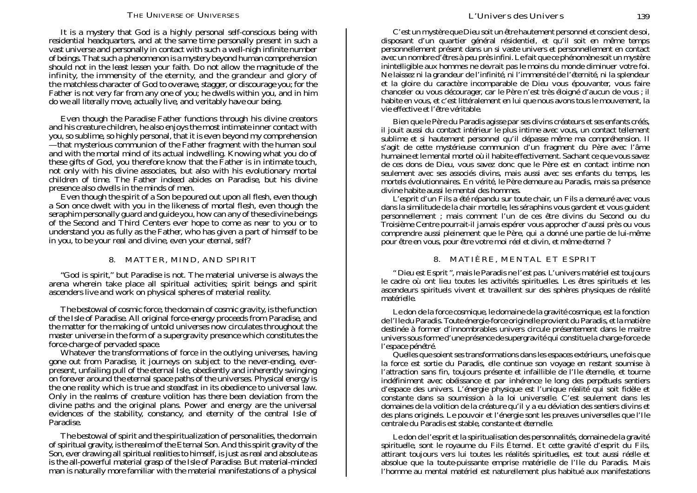It is a mystery that God is a highly personal self-conscious being with residential headquarters, and at the same time personally present in such a vast universe and personally in contact with such a well-nigh infinite number of beings. That such a phenomenon is a mystery beyond human comprehension should not in the least lessen your faith. Do not allow the magnitude of the infinity, the immensity of the eternity, and the grandeur and glory of the matchless character of God to overawe, stagger, or discourage you; for the Father is not very far from any one of you; he dwells within you, and in him do we all literally move, actually live, and veritably have our being.

Even though the Paradise Father functions through his divine creators and his creature children, he also enjoys the most intimate inner contact with you, so sublime, so highly personal, that it is even beyond my comprehension —that mysterious communion of the Father fragment with the human soul and with the mortal mind of its actual indwelling. Knowing what you do of these gifts of God, you therefore know that the Father is in intimate touch, not only with his divine associates, but also with his evolutionary mortal children of time. The Father indeed abides on Paradise, but his divine presence also dwells in the minds of men.

Even though the spirit of a Son be poured out upon all flesh, even though a Son once dwelt with you in the likeness of mortal flesh, even though the seraphim personally guard and guide you, how can any of these divine beings of the Second and Third Centers ever hope to come as near to you or to understand you as fully as the Father, who has given a part of himself to be in you, to be your real and divine, even your eternal, self?

#### 8. MATTER, MIND, AND SPIRIT

"God is spirit," but Paradise is not. The material universe is always the arena wherein take place all spiritual activities; spirit beings and spirit ascenders live and work on physical spheres of material reality.

The bestowal of cosmic force, the domain of cosmic gravity, is the function of the Isle of Paradise. All original force-energy proceeds from Paradise, and the matter for the making of untold universes now circulates throughout the master universe in the form of a supergravity presence which constitutes the force-charge of pervaded space.

Whatever the transformations of force in the outlying universes, having gone out from Paradise, it journeys on subject to the never-ending, everpresent, unfailing pull of the eternal Isle, obediently and inherently swinging on forever around the eternal space paths of the universes. Physical energy is the one reality which is true and steadfast in its obedience to universal law. Only in the realms of creature volition has there been deviation from the divine paths and the original plans. Power and energy are the universal evidences of the stability, constancy, and eternity of the central Isle of Paradise.

The bestowal of spirit and the spiritualization of personalities, the domain of spiritual gravity, is the realm of the Eternal Son. And this spirit gravity of the Son, ever drawing all spiritual realities to himself, is just as real and absolute as is the all-powerful material grasp of the Isle of Paradise. But material-minded man is naturally more familiar with the material manifestations of a physical

#### L'Univers des Univers 139

C'est un mystère que Dieu soit un être hautement personnel et conscient de soi, disposant d'un quartier général résidentiel, et qu'il soit en même temps personnellement présent dans un si vaste univers et personnellement en contact avec un nombre d'êtres à peu près infini. Le fait que ce phénomène soit un mystère inintelligible aux hommes ne devrait pas le moins du monde diminuer votre foi. Ne laissez ni la grandeur de l'infinité, ni l'immensité de l'éternité, ni la splendeur et la gloire du caractère incomparable de Dieu vous épouvanter, vous faire chanceler ou vous décourager, car le Père n'est très éloigné d'aucun de vous ; il habite en vous, et c'est littéralement en lui que nous avons tous le mouvement, la vie effective et l'être véritable.

Bien que le Père du Paradis agisse par ses divins créateurs et ses enfants créés, il jouit aussi du contact intérieur le plus intime avec vous, un contact tellement sublime et si hautement personnel qu'il dépasse même ma compréhension. Il s'agit de cette mystérieuse communion d'un fragment du Père avec l'âme humaine et le mental mortel où il habite effectivement. Sachant ce que vous savez de ces dons de Dieu, vous savez donc que le Père est en contact intime non seulement avec ses associés divins, mais aussi avec ses enfants du temps, les mortels évolutionnaires. En vérité, le Père demeure au Paradis, mais sa présence divine habite aussi le mental des hommes.

L'esprit d'un Fils a été répandu sur toute chair, un Fils a demeuré avec vous dans la similitude de la chair mortelle, les séraphins vous gardent et vous guident personnellement ; mais comment l'un de ces être divins du Second ou du Troisième Centre pourrait-il jamais espérer vous approcher d'aussi près ou vous comprendre aussi pleinement que le Père, qui a donné une partie de lui-même pour être en vous, pour être votre moi réel et divin, et même éternel ?

#### 8. MATIÈRE, MENTAL ET ESPRIT

" Dieu est Esprit ", mais le Paradis ne l'est pas. L'univers matériel est toujours le cadre où ont lieu toutes les activités spirituelles. Les êtres spirituels et les ascendeurs spirituels vivent et travaillent sur des sphères physiques de réalité matérielle.

Le don de la force cosmique, le domaine de la gravité cosmique, est la fonction de l'Ile du Paradis. Toute énergie-force originelle provient du Paradis, et la matière destinée à former d'innombrables univers circule présentement dans le maitre univers sous forme d'une présence de supergravité qui constitue la charge-force de l'espace pénétré.

Quelles que soient ses transformations dans les espaces extérieurs, une fois que la force est sortie du Paradis, elle continue son voyage en restant soumise à l'attraction sans fin, toujours présente et infaillible de l'Ile éternelle, et tourne indéfiniment avec obéissance et par inhérence le long des perpétuels sentiers d'espace des univers. L'énergie physique est l'unique réalité qui soit fidèle et constante dans sa soumission à la loi universelle. C'est seulement dans les domaines de la volition de la créature qu'il y a eu déviation des sentiers divins et des plans originels. Le pouvoir et l'énergie sont les preuves universelles que l'Ile centrale du Paradis est stable, constante et éternelle.

Le don de l'esprit et la spiritualisation des personnalités, domaine de la gravité spirituelle, sont le royaume du Fils Éternel. Et cette gravité d'esprit du Fils, attirant toujours vers lui toutes les réalités spirituelles, est tout aussi réelle et absolue que la toute-puissante emprise matérielle de l'Ile du Paradis. Mais l'homme au mental matériel est naturellement plus habitué aux manifestations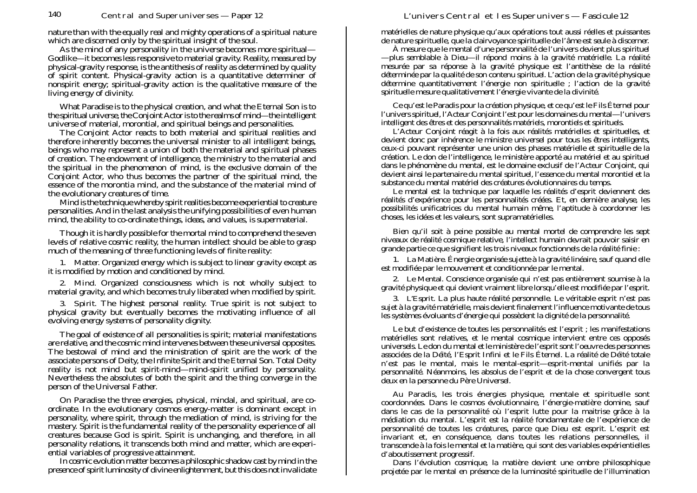nature than with the equally real and mighty operations of a spiritual nature which are discerned only by the spiritual insight of the soul.

As the mind of any personality in the universe becomes more spiritual— Godlike—it becomes less responsive to material gravity. Reality, measured by physical-gravity response, is the antithesis of reality as determined by quality of spirit content. Physical-gravity action is a quantitative determiner of nonspirit energy; spiritual-gravity action is the qualitative measure of the living energy of divinity.

What Paradise is to the physical creation, and what the Eternal Son is to the spiritual universe, the Conjoint Actor is to the realms of mind—the intelligent universe of material, morontial, and spiritual beings and personalities.

The Conjoint Actor reacts to both material and spiritual realities and therefore inherently becomes the universal minister to all intelligent beings, beings who may represent a union of both the material and spiritual phases of creation. The endowment of intelligence, the ministry to the material and the spiritual in the phenomenon of mind, is the exclusive domain of the Conjoint Actor, who thus becomes the partner of the spiritual mind, the essence of the morontia mind, and the substance of the material mind of the evolutionary creatures of time.

Mind is the technique whereby spirit realities become experiential to creature personalities. And in the last analysis the unifying possibilities of even human mind, the ability to co-ordinate things, ideas, and values, is supermaterial.

Though it is hardly possible for the mortal mind to comprehend the seven levels of relative cosmic reality, the human intellect should be able to grasp much of the meaning of three functioning levels of finite reality:

1. *Matter.* Organized energy which is subject to linear gravity except as it is modified by motion and conditioned by mind.

2. *Mind.* Organized consciousness which is not wholly subject to material gravity, and which becomes truly liberated when modified by spirit.

3. *Spirit.* The highest personal reality. True spirit is not subject to physical gravity but eventually becomes the motivating influence of all evolving energy systems of personality dignity.

The goal of existence of all personalities is spirit; material manifestations are relative, and the cosmic mind intervenes between these universal opposites. The bestowal of mind and the ministration of spirit are the work of the associate persons of Deity, the Infinite Spirit and the Eternal Son. Total Deity reality is not mind but spirit-mind—mind-spirit unified by personality. Nevertheless the absolutes of both the spirit and the thing converge in the person of the Universal Father.

On Paradise the three energies, physical, mindal, and spiritual, are coordinate. In the evolutionary cosmos energy-matter is dominant except in personality, where spirit, through the mediation of mind, is striving for the mastery. Spirit is the fundamental reality of the personality experience of all creatures because God is spirit. Spirit is unchanging, and therefore, in all personality relations, it transcends both mind and matter, which are experiential variables of progressive attainment.

In cosmic evolution matter becomes a philosophic shadow cast by mind in the presence of spirit luminosity of divine enlightenment, but this does not invalidate matérielles de nature physique qu'aux opérations tout aussi réelles et puissantes

de nature spirituelle, que la clairvoyance spirituelle de l'âme est seule à discerner. À mesure que le mental d'une personnalité de l'univers devient plus spirituel —plus semblable à Dieu—il répond moins à la gravité matérielle. La réalité mesurée par sa réponse à la gravité physique est l'antithèse de la réalité déterminée par la qualité de son contenu spirituel. L'action de la gravité physique détermine quantitativement l'énergie non spirituelle ; l'action de la gravité spirituelle mesure qualitativement l'énergie vivante de la divinité.

Ce qu'est le Paradis pour la création physique, et ce qu'est le Fils Éternel pour l'univers spirituel, l'Acteur Conjoint l'est pour les domaines du mental—l'univers intelligent des êtres et des personnalités matériels, morontiels et spirituels.

L'Acteur Conjoint réagit à la fois aux réalités matérielles et spirituelles, et devient donc par inhérence le ministre universel pour tous les êtres intelligents, ceux-ci pouvant représenter une union des phases matérielle et spirituelle de la création. Le don de l'intelligence, le ministère apporté au matériel et au spirituel dans le phénomène du mental, est le domaine exclusif de l'Acteur Conjoint, qui devient ainsi le partenaire du mental spirituel, l'essence du mental morontiel et la substance du mental matériel des créatures évolutionnaires du temps.

Le mental est la technique par laquelle les réalités d'esprit deviennent des réalités d'expérience pour les personnalités créées. Et, en dernière analyse, les possibilités unificatrices du mental humain même, l'aptitude à coordonner les choses, les idées et les valeurs, sont supramatérielles.

Bien qu'il soit à peine possible au mental mortel de comprendre les sept niveaux de réalité cosmique relative, l'intellect humain devrait pouvoir saisir en grande partie ce que signifient les trois niveaux fonctionnels de la réalité finie :

1. *La Matière.* Énergie organisée sujette à la gravité linéaire, sauf quand elle est modifiée par le mouvement et conditionnée par le mental.

2. *Le Mental*. Conscience organisée qui n'est pas entièrement soumise à la gravité physique et qui devient vraiment libre lorsqu'elle est modifiée par l'esprit.

3. *L'Esprit*. La plus haute réalité personnelle. Le véritable esprit n'est pas sujet à la gravité matérielle, mais devient finalement l'influence motivante de tous les systèmes évoluants d'énergie qui possèdent la dignité de la personnalité.

Le but d'existence de toutes les personnalités est l'esprit ; les manifestations matérielles sont relatives, et le mental cosmique intervient entre ces opposés universels. Le don du mental et le ministère de l'esprit sont l'oeuvre des personnes associées de la Déité, l'Esprit Infini et le Fils Éternel. La réalité de Déité totale n'est pas le mental, mais le mental-esprit—esprit-mental unifiés par la personnalité. Néanmoins, les absolus de l'esprit et de la chose convergent tous deux en la personne du Père Universel.

Au Paradis, les trois énergies physique, mentale et spirituelle sont coordonnées. Dans le cosmos évolutionnaire, l'énergie-matière domine, sauf dans le cas de la personnalité où l'esprit lutte pour la maitrise grâce à la médiation du mental. L'esprit est la réalité fondamentale de l'expérience de personnalité de toutes les créatures, parce que Dieu est esprit. L'esprit est invariant et, en conséquence, dans toutes les relations personnelles, il transcende à la fois le mental et la matière, qui sont des variables expérientielles d'aboutissement progressif.

Dans l'évolution cosmique, la matière devient une ombre philosophique projetée par le mental en présence de la luminosité spirituelle de l'illumination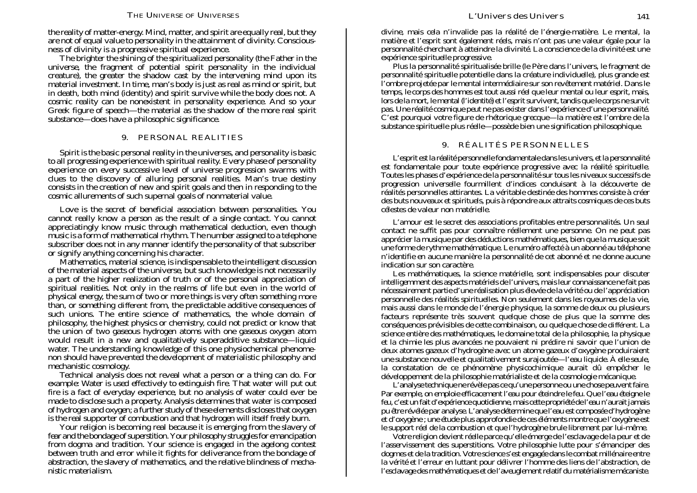the reality of matter-energy. Mind, matter, and spirit are equally real, but they are not of equal value to personality in the attainment of divinity. Conscious-<br>ness of divinity is a progressive spiritual experience.

The brighter the shining of the spiritual zed personality (the Father in the universe, the fragment of potential spirit personality in the individual creature), the greater the shadow cast by the intervening mind upon its material investment. In time, man's body is just as real as mind or spirit, but in death, both mind (identity) and spirit survive while the body does not. A cosmic reality can be nonexistent in personality experience. And so your Greek figure of speech—the material as the shadow of the more real spirit substance—does have a philosophic significance.

#### 9. PERSONAL REALITIES

Spirit is the basic personal reality in the universes, and personality is basic to all progressing experience with spiritual reality. Every phase of personality experience on every successive level of universe progression swarms with clues to the discovery of alluring personal realities. Man's true destiny consists in the creation of new and spirit goals and then in responding to the cosmic allurements of such supernal goals of nonmaterial value.

Love is the secret of beneficial association between personalities. You cannot really know a person as the result of a single contact. You cannot appreciatingly know music through mathematical deduction, even though music is a form of mathematical rhythm. The number assigned to a telephone subscriber does not in any manner identify the personality of that subscriber or signify anything concerning his character.

Mathematics, material science, is indispensable to the intelligent discussion of the material aspects of the universe, but such knowledge is not necessarily a part of the higher realization of truth or of the personal appreciation of spiritual realities. Not only in the realms of life but even in the world of physical energy, the sum of two or more things is very often something *more* than, or something *different* from, the predictable additive consequences of such unions. The entire science of mathematics, the whole domain of philosophy, the highest physics or chemistry, could not predict or know that the union of two gaseous hydrogen atoms with one gaseous oxygen atom would result in a new and qualitatively superadditive substance—liquid water. The understanding knowledge of this one physiochemical phenomenon should have prevented the development of materialistic philosophy and mechanistic cosmology.

Technical analysis does not reveal what a person or a thing can do. For example: Water is used effectively to extinguish fire. That water will put out fire is a fact of everyday experience, but no analysis of water could ever be made to disclose such a property. Analysis determines that water is composed of hydrogen and oxygen; a further study of these elements discloses that oxygen is the real supporter of combustion and that hydrogen will itself freely burn.

Your religion is becoming real because it is emerging from the slavery of fear and the bondage of superstition. Your philosophy struggles for emancipation from dogma and tradition. Your science is engaged in the agelong contest between truth and error while it fights for deliverance from the bondage of abstraction, the slavery of mathematics, and the relative blindness of mechanistic materialism.

divine, mais cela n'invalide pas la réalité de l'énergie-matière. Le mental, la matière et l'esprit sont également réels, mais n'ont pas une valeur égale pour la personnalité cherchant à atteindre la divinité. La conscience de la divinité est une expérience spirituelle progressive.

Plus la personnalité spiritualisée brille (le Père dans l'univers, le fragment de personnalité spirituelle potentielle dans la créature individuelle), plus grande est l'ombre projetée par le mental intermédiaire sur son revêtement matériel. Dans le temps, le corps des hommes est tout aussi réel que leur mental ou leur esprit, mais, lors de la mort, le mental (l'identité) et l'esprit survivent, tandis que le corps ne survit pas. Une réalité cosmique peut ne pas exister dans l'expérience d'une personnalité. C'est pourquoi votre figure de rhétorique grecque—la matière est l'ombre de la substance spirituelle plus réelle—possède bien une signification philosophique.

#### 9. RÉALITÉS PERSONNELLES

L'esprit est la réalité personnelle fondamentale dans les univers, et la personnalité est fondamentale pour toute expérience progressive avec la réalité spirituelle. Toutes les phases d'expérience de la personnalité sur tous les niveaux successifs de progression universelle fourmillent d'indices conduisant à la découverte de réalités personnelles attirantes. La véritable destinée des hommes consiste à créer des buts nouveaux et spirituels, puis à répondre aux attraits cosmiques de ces buts célestes de valeur non matérielle.

L'amour est le secret des associations profitables entre personnalités. Un seul contact ne suffit pas pour connaître réellement une personne. On ne peut pas apprécier la musique par des déductions mathématiques, bien que la musique soit une forme de rythme mathématique. Le numéro affecté à un abonné au téléphone n'identifie en aucune manière la personnalité de cet abonné et ne donne aucune indication sur son caractère.

Les mathématiques, la science matérielle, sont indispensables pour discuter intelligemment des aspects matériels de l'univers, mais leur connaissance ne fait pas nécessairement partie d'une réalisation plus élevée de la vérité ou de l'appréciation personnelle des réalités spirituelles. Non seulement dans les royaumes de la vie, mais aussi dans le monde de l'énergie physique, la somme de deux ou plusieurs facteurs représente très souvent quelque chose *de plus* que la somme des conséquences prévisibles de cette combinaison, ou quelque chose de *différent*. La science entière des mathématiques, le domaine total de la philosophie, la physique et la chimie les plus avancées ne pouvaient ni prédire ni savoir que l'union de deux atomes gazeux d'hydrogène avec un atome gazeux d'oxygène produiraient une substance nouvelle et qualitativement surajoutée—l'eau liquide. À elle seule, la constatation de ce phénomène physicochimique aurait dû empêcher le développement de la philosophie matérialiste et de la cosmologie mécanique.

L'analyse technique ne révèle pas ce qu'une personne ou une chose peuvent faire. Par exemple, on emploie efficacement l'eau pour éteindre le feu. Que l'eau éteigne le feu, c'est un fait d'expérience quotidienne, mais cette propriété de l'eau n'aurait jamais pu être révélée par analyse. L'analyse détermine que l'eau est composée d'hydrogène et d'oxygène ; une étude plus approfondie de ces éléments montre que l'oxygène est le support réel de la combustion et que l'hydrogène brule librement par lui-même.

Votre religion devient réelle parce qu'elle émerge de l'esclavage de la peur et de l'asservissement des superstitions. Votre philosophie lutte pour s'émanciper des dogmes et de la tradition. Votre science s'est engagée dans le combat millénaire entre la vérité et l'erreur en luttant pour délivrer l'homme des liens de l'abstraction, de l'esclavage des mathématiques et de l'aveuglement relatif du matérialisme mécaniste.